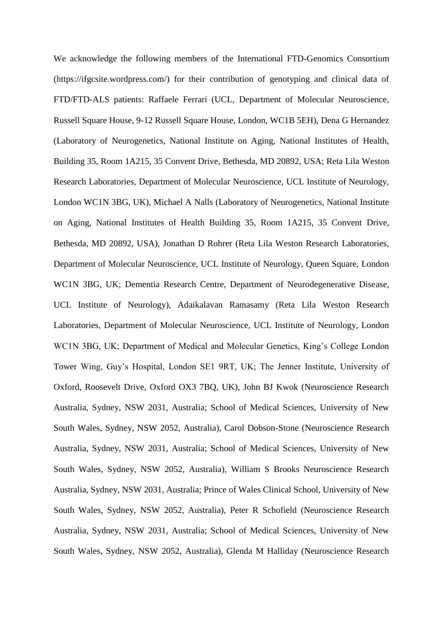We acknowledge the following members of the International FTD-Genomics Consortium (https://ifgcsite.wordpress.com/) for their contribution of genotyping and clinical data of FTD/FTD-ALS patients: Raffaele Ferrari (UCL, Department of Molecular Neuroscience, Russell Square House, 9-12 Russell Square House, London, WC1B 5EH), Dena G Hernandez (Laboratory of Neurogenetics, National Institute on Aging, National Institutes of Health, Building 35, Room 1A215, 35 Convent Drive, Bethesda, MD 20892, USA; Reta Lila Weston Research Laboratories, Department of Molecular Neuroscience, UCL Institute of Neurology, London WC1N 3BG, UK), Michael A Nalls (Laboratory of Neurogenetics, National Institute on Aging, National Institutes of Health Building 35, Room 1A215, 35 Convent Drive, Bethesda, MD 20892, USA), Jonathan D Rohrer (Reta Lila Weston Research Laboratories, Department of Molecular Neuroscience, UCL Institute of Neurology, Queen Square, London WC1N 3BG, UK; Dementia Research Centre, Department of Neurodegenerative Disease, UCL Institute of Neurology), Adaikalavan Ramasamy (Reta Lila Weston Research Laboratories, Department of Molecular Neuroscience, UCL Institute of Neurology, London WC1N 3BG, UK; Department of Medical and Molecular Genetics, King's College London Tower Wing, Guy's Hospital, London SE1 9RT, UK; The Jenner Institute, University of Oxford, Roosevelt Drive, Oxford OX3 7BQ, UK), John BJ Kwok (Neuroscience Research Australia, Sydney, NSW 2031, Australia; School of Medical Sciences, University of New South Wales, Sydney, NSW 2052, Australia), Carol Dobson-Stone (Neuroscience Research Australia, Sydney, NSW 2031, Australia; School of Medical Sciences, University of New South Wales, Sydney, NSW 2052, Australia), William S Brooks Neuroscience Research Australia, Sydney, NSW 2031, Australia; Prince of Wales Clinical School, University of New South Wales, Sydney, NSW 2052, Australia), Peter R Schofield (Neuroscience Research Australia, Sydney, NSW 2031, Australia; School of Medical Sciences, University of New South Wales, Sydney, NSW 2052, Australia), Glenda M Halliday (Neuroscience Research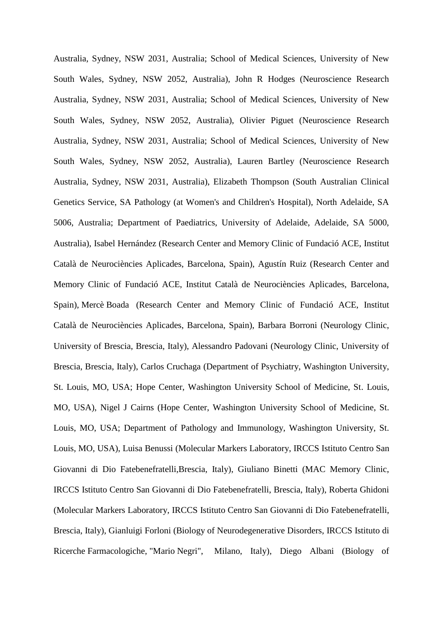Australia, Sydney, NSW 2031, Australia; School of Medical Sciences, University of New South Wales, Sydney, NSW 2052, Australia), John R Hodges (Neuroscience Research Australia, Sydney, NSW 2031, Australia; School of Medical Sciences, University of New South Wales, Sydney, NSW 2052, Australia), Olivier Piguet (Neuroscience Research Australia, Sydney, NSW 2031, Australia; School of Medical Sciences, University of New South Wales, Sydney, NSW 2052, Australia), Lauren Bartley (Neuroscience Research Australia, Sydney, NSW 2031, Australia), Elizabeth Thompson (South Australian Clinical Genetics Service, SA Pathology (at Women's and Children's Hospital), North Adelaide, SA 5006, Australia; Department of Paediatrics, University of Adelaide, Adelaide, SA 5000, Australia), Isabel Hernández (Research Center and Memory Clinic of Fundació ACE, Institut Català de Neurociències Aplicades, Barcelona, Spain), Agustín Ruiz (Research Center and Memory Clinic of Fundació ACE, Institut Català de Neurociències Aplicades, Barcelona, Spain), Mercè Boada (Research Center and Memory Clinic of Fundació ACE, Institut Català de Neurociències Aplicades, Barcelona, Spain), Barbara Borroni (Neurology Clinic, University of Brescia, Brescia, Italy), Alessandro Padovani (Neurology Clinic, University of Brescia, Brescia, Italy), Carlos Cruchaga (Department of Psychiatry, Washington University, St. Louis, MO, USA; Hope Center, Washington University School of Medicine, St. Louis, MO, USA), Nigel J Cairns (Hope Center, Washington University School of Medicine, St. Louis, MO, USA; Department of Pathology and Immunology, Washington University, St. Louis, MO, USA), Luisa Benussi (Molecular Markers Laboratory, IRCCS Istituto Centro San Giovanni di Dio Fatebenefratelli,Brescia, Italy), Giuliano Binetti (MAC Memory Clinic, IRCCS Istituto Centro San Giovanni di Dio Fatebenefratelli, Brescia, Italy), Roberta Ghidoni (Molecular Markers Laboratory, IRCCS Istituto Centro San Giovanni di Dio Fatebenefratelli, Brescia, Italy), Gianluigi Forloni (Biology of Neurodegenerative Disorders, IRCCS Istituto di Ricerche Farmacologiche, "Mario Negri", Milano, Italy), Diego Albani (Biology of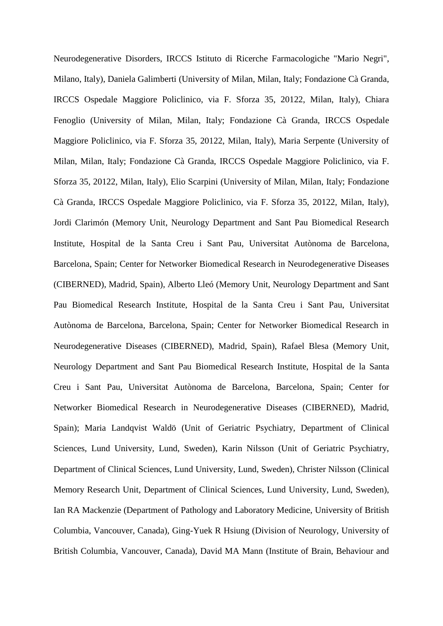Neurodegenerative Disorders, IRCCS Istituto di Ricerche Farmacologiche "Mario Negri", Milano, Italy), Daniela Galimberti (University of Milan, Milan, Italy; Fondazione Cà Granda, IRCCS Ospedale Maggiore Policlinico, via F. Sforza 35, 20122, Milan, Italy), Chiara Fenoglio (University of Milan, Milan, Italy; Fondazione Cà Granda, IRCCS Ospedale Maggiore Policlinico, via F. Sforza 35, 20122, Milan, Italy), Maria Serpente (University of Milan, Milan, Italy; Fondazione Cà Granda, IRCCS Ospedale Maggiore Policlinico, via F. Sforza 35, 20122, Milan, Italy), Elio Scarpini (University of Milan, Milan, Italy; Fondazione Cà Granda, IRCCS Ospedale Maggiore Policlinico, via F. Sforza 35, 20122, Milan, Italy), Jordi Clarimón (Memory Unit, Neurology Department and Sant Pau Biomedical Research Institute, Hospital de la Santa Creu i Sant Pau, Universitat Autònoma de Barcelona, Barcelona, Spain; Center for Networker Biomedical Research in Neurodegenerative Diseases (CIBERNED), Madrid, Spain), Alberto Lleó (Memory Unit, Neurology Department and Sant Pau Biomedical Research Institute, Hospital de la Santa Creu i Sant Pau, Universitat Autònoma de Barcelona, Barcelona, Spain; Center for Networker Biomedical Research in Neurodegenerative Diseases (CIBERNED), Madrid, Spain), Rafael Blesa (Memory Unit, Neurology Department and Sant Pau Biomedical Research Institute, Hospital de la Santa Creu i Sant Pau, Universitat Autònoma de Barcelona, Barcelona, Spain; Center for Networker Biomedical Research in Neurodegenerative Diseases (CIBERNED), Madrid, Spain); Maria Landqvist Waldö (Unit of Geriatric Psychiatry, Department of Clinical Sciences, Lund University, Lund, Sweden), Karin Nilsson (Unit of Geriatric Psychiatry, Department of Clinical Sciences, Lund University, Lund, Sweden), Christer Nilsson (Clinical Memory Research Unit, Department of Clinical Sciences, Lund University, Lund, Sweden), Ian RA Mackenzie (Department of Pathology and Laboratory Medicine, University of British Columbia, Vancouver, Canada), Ging-Yuek R Hsiung (Division of Neurology, University of British Columbia, Vancouver, Canada), David MA Mann (Institute of Brain, Behaviour and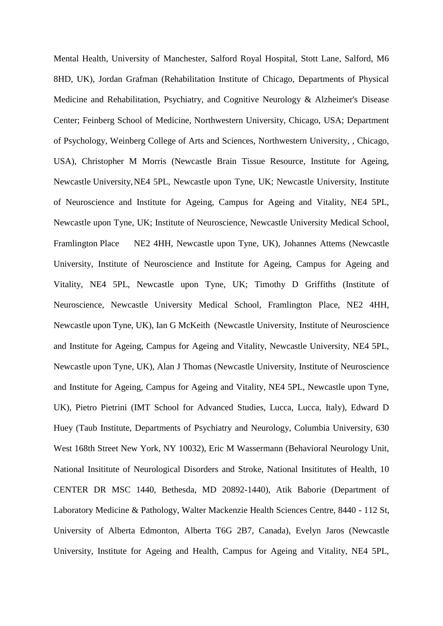Mental Health, University of Manchester, Salford Royal Hospital, Stott Lane, Salford, M6 8HD, UK), Jordan Grafman (Rehabilitation Institute of Chicago, Departments of Physical Medicine and Rehabilitation, Psychiatry, and Cognitive Neurology & Alzheimer's Disease Center; Feinberg School of Medicine, Northwestern University, Chicago, USA; Department of Psychology, Weinberg College of Arts and Sciences, Northwestern University, , Chicago, USA), Christopher M Morris (Newcastle Brain Tissue Resource, Institute for Ageing, Newcastle University,NE4 5PL, Newcastle upon Tyne, UK; Newcastle University, Institute of Neuroscience and Institute for Ageing, Campus for Ageing and Vitality, NE4 5PL, Newcastle upon Tyne, UK; Institute of Neuroscience, Newcastle University Medical School, Framlington Place NE2 4HH, Newcastle upon Tyne, UK), Johannes Attems (Newcastle University, Institute of Neuroscience and Institute for Ageing, Campus for Ageing and Vitality, NE4 5PL, Newcastle upon Tyne, UK; Timothy D Griffiths (Institute of Neuroscience, Newcastle University Medical School, Framlington Place, NE2 4HH, Newcastle upon Tyne, UK), Ian G McKeith (Newcastle University, Institute of Neuroscience and Institute for Ageing, Campus for Ageing and Vitality, Newcastle University, NE4 5PL, Newcastle upon Tyne, UK), Alan J Thomas (Newcastle University, Institute of Neuroscience and Institute for Ageing, Campus for Ageing and Vitality, NE4 5PL, Newcastle upon Tyne, UK), Pietro Pietrini (IMT School for Advanced Studies, Lucca, Lucca, Italy), Edward D Huey (Taub Institute, Departments of Psychiatry and Neurology, Columbia University, 630 West 168th Street New York, NY 10032), Eric M Wassermann (Behavioral Neurology Unit, National Insititute of Neurological Disorders and Stroke, National Insititutes of Health, 10 CENTER DR MSC 1440, Bethesda, MD 20892-1440), Atik Baborie (Department of Laboratory Medicine & Pathology, Walter Mackenzie Health Sciences Centre, 8440 - 112 St, University of Alberta Edmonton, Alberta T6G 2B7, Canada), Evelyn Jaros (Newcastle University, Institute for Ageing and Health, Campus for Ageing and Vitality, NE4 5PL,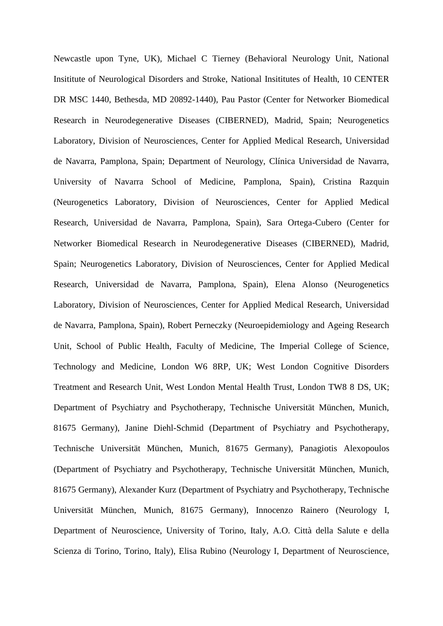Newcastle upon Tyne, UK), Michael C Tierney (Behavioral Neurology Unit, National Insititute of Neurological Disorders and Stroke, National Insititutes of Health, 10 CENTER DR MSC 1440, Bethesda, MD 20892-1440), Pau Pastor (Center for Networker Biomedical Research in Neurodegenerative Diseases (CIBERNED), Madrid, Spain; Neurogenetics Laboratory, Division of Neurosciences, Center for Applied Medical Research, Universidad de Navarra, Pamplona, Spain; Department of Neurology, Clínica Universidad de Navarra, University of Navarra School of Medicine, Pamplona, Spain), Cristina Razquin (Neurogenetics Laboratory, Division of Neurosciences, Center for Applied Medical Research, Universidad de Navarra, Pamplona, Spain), Sara Ortega-Cubero (Center for Networker Biomedical Research in Neurodegenerative Diseases (CIBERNED), Madrid, Spain; Neurogenetics Laboratory, Division of Neurosciences, Center for Applied Medical Research, Universidad de Navarra, Pamplona, Spain), Elena Alonso (Neurogenetics Laboratory, Division of Neurosciences, Center for Applied Medical Research, Universidad de Navarra, Pamplona, Spain), Robert Perneczky (Neuroepidemiology and Ageing Research Unit, School of Public Health, Faculty of Medicine, The Imperial College of Science, Technology and Medicine, London W6 8RP, UK; West London Cognitive Disorders Treatment and Research Unit, West London Mental Health Trust, London TW8 8 DS, UK; Department of Psychiatry and Psychotherapy, Technische Universität München, Munich, 81675 Germany), Janine Diehl-Schmid (Department of Psychiatry and Psychotherapy, Technische Universität München, Munich, 81675 Germany), Panagiotis Alexopoulos (Department of Psychiatry and Psychotherapy, Technische Universität München, Munich, 81675 Germany), Alexander Kurz (Department of Psychiatry and Psychotherapy, Technische Universität München, Munich, 81675 Germany), Innocenzo Rainero (Neurology I, Department of Neuroscience, University of Torino, Italy, A.O. Città della Salute e della Scienza di Torino, Torino, Italy), Elisa Rubino (Neurology I, Department of Neuroscience,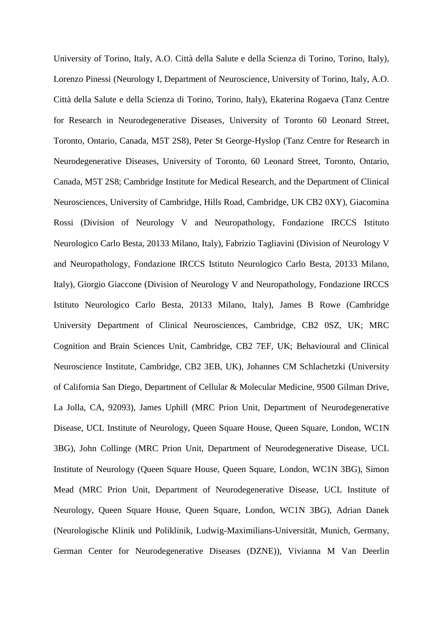University of Torino, Italy, A.O. Città della Salute e della Scienza di Torino, Torino, Italy), Lorenzo Pinessi (Neurology I, Department of Neuroscience, University of Torino, Italy, A.O. Città della Salute e della Scienza di Torino, Torino, Italy), Ekaterina Rogaeva (Tanz Centre for Research in Neurodegenerative Diseases, University of Toronto 60 Leonard Street, Toronto, Ontario, Canada, M5T 2S8), Peter St George-Hyslop (Tanz Centre for Research in Neurodegenerative Diseases, University of Toronto, 60 Leonard Street, Toronto, Ontario, Canada, M5T 2S8; Cambridge Institute for Medical Research, and the Department of Clinical Neurosciences, University of Cambridge, Hills Road, Cambridge, UK CB2 0XY), Giacomina Rossi (Division of Neurology V and Neuropathology, Fondazione IRCCS Istituto Neurologico Carlo Besta, 20133 Milano, Italy), Fabrizio Tagliavini (Division of Neurology V and Neuropathology, Fondazione IRCCS Istituto Neurologico Carlo Besta, 20133 Milano, Italy), Giorgio Giaccone (Division of Neurology V and Neuropathology, Fondazione IRCCS Istituto Neurologico Carlo Besta, 20133 Milano, Italy), James B Rowe (Cambridge University Department of Clinical Neurosciences, Cambridge, CB2 0SZ, UK; MRC Cognition and Brain Sciences Unit, Cambridge, CB2 7EF, UK; Behavioural and Clinical Neuroscience Institute, Cambridge, CB2 3EB, UK), Johannes CM Schlachetzki (University of California San Diego, Department of Cellular & Molecular Medicine, 9500 Gilman Drive, La Jolla, CA, 92093), James Uphill (MRC Prion Unit, Department of Neurodegenerative Disease, UCL Institute of Neurology, Queen Square House, Queen Square, London, WC1N 3BG), John Collinge (MRC Prion Unit, Department of Neurodegenerative Disease, UCL Institute of Neurology (Queen Square House, Queen Square, London, WC1N 3BG), Simon Mead (MRC Prion Unit, Department of Neurodegenerative Disease, UCL Institute of Neurology, Queen Square House, Queen Square, London, WC1N 3BG), Adrian Danek (Neurologische Klinik und Poliklinik, Ludwig-Maximilians-Universität, Munich, Germany, German Center for Neurodegenerative Diseases (DZNE)), Vivianna M Van Deerlin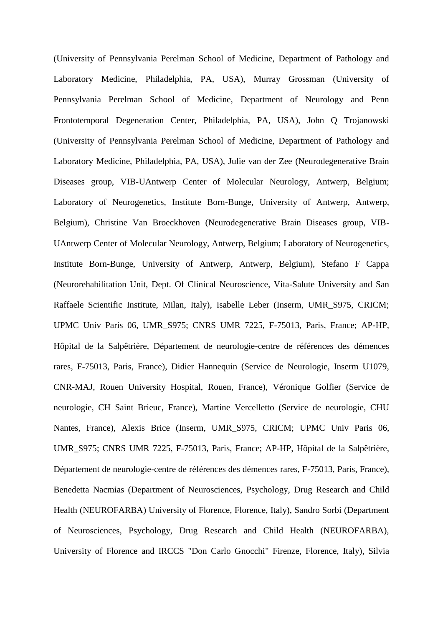(University of Pennsylvania Perelman School of Medicine, Department of Pathology and Laboratory Medicine, Philadelphia, PA, USA), Murray Grossman (University of Pennsylvania Perelman School of Medicine, Department of Neurology and Penn Frontotemporal Degeneration Center, Philadelphia, PA, USA), John Q Trojanowski (University of Pennsylvania Perelman School of Medicine, Department of Pathology and Laboratory Medicine, Philadelphia, PA, USA), Julie van der Zee (Neurodegenerative Brain Diseases group, VIB-UAntwerp Center of Molecular Neurology, Antwerp, Belgium; Laboratory of Neurogenetics, Institute Born-Bunge, University of Antwerp, Antwerp, Belgium), Christine Van Broeckhoven (Neurodegenerative Brain Diseases group, VIB-UAntwerp Center of Molecular Neurology, Antwerp, Belgium; Laboratory of Neurogenetics, Institute Born-Bunge, University of Antwerp, Antwerp, Belgium), Stefano F Cappa (Neurorehabilitation Unit, Dept. Of Clinical Neuroscience, Vita-Salute University and San Raffaele Scientific Institute, Milan, Italy), Isabelle Leber (Inserm, UMR\_S975, CRICM; UPMC Univ Paris 06, UMR\_S975; CNRS UMR 7225, F-75013, Paris, France; AP-HP, Hôpital de la Salpêtrière, Département de neurologie-centre de références des démences rares, F-75013, Paris, France), Didier Hannequin (Service de Neurologie, Inserm U1079, CNR-MAJ, Rouen University Hospital, Rouen, France), Véronique Golfier (Service de neurologie, CH Saint Brieuc, France), Martine Vercelletto (Service de neurologie, CHU Nantes, France), Alexis Brice (Inserm, UMR\_S975, CRICM; UPMC Univ Paris 06, UMR\_S975; CNRS UMR 7225, F-75013, Paris, France; AP-HP, Hôpital de la Salpêtrière, Département de neurologie-centre de références des démences rares, F-75013, Paris, France), Benedetta Nacmias (Department of Neurosciences, Psychology, Drug Research and Child Health (NEUROFARBA) University of Florence, Florence, Italy), Sandro Sorbi (Department of Neurosciences, Psychology, Drug Research and Child Health (NEUROFARBA), University of Florence and IRCCS "Don Carlo Gnocchi" Firenze, Florence, Italy), Silvia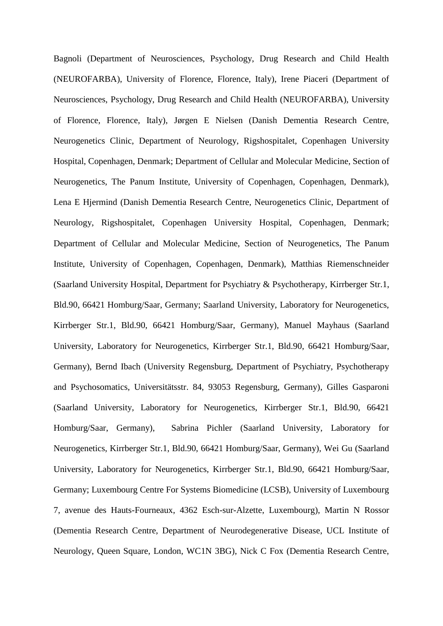Bagnoli (Department of Neurosciences, Psychology, Drug Research and Child Health (NEUROFARBA), University of Florence, Florence, Italy), Irene Piaceri (Department of Neurosciences, Psychology, Drug Research and Child Health (NEUROFARBA), University of Florence, Florence, Italy), Jørgen E Nielsen (Danish Dementia Research Centre, Neurogenetics Clinic, Department of Neurology, Rigshospitalet, Copenhagen University Hospital, Copenhagen, Denmark; Department of Cellular and Molecular Medicine, Section of Neurogenetics, The Panum Institute, University of Copenhagen, Copenhagen, Denmark), Lena E Hjermind (Danish Dementia Research Centre, Neurogenetics Clinic, Department of Neurology, Rigshospitalet, Copenhagen University Hospital, Copenhagen, Denmark; Department of Cellular and Molecular Medicine, Section of Neurogenetics, The Panum Institute, University of Copenhagen, Copenhagen, Denmark), Matthias Riemenschneider (Saarland University Hospital, Department for Psychiatry & Psychotherapy, Kirrberger Str.1, Bld.90, 66421 Homburg/Saar, Germany; Saarland University, Laboratory for Neurogenetics, Kirrberger Str.1, Bld.90, 66421 Homburg/Saar, Germany), Manuel Mayhaus (Saarland University, Laboratory for Neurogenetics, Kirrberger Str.1, Bld.90, 66421 Homburg/Saar, Germany), Bernd Ibach (University Regensburg, Department of Psychiatry, Psychotherapy and Psychosomatics, Universitätsstr. 84, 93053 Regensburg, Germany), Gilles Gasparoni (Saarland University, Laboratory for Neurogenetics, Kirrberger Str.1, Bld.90, 66421 Homburg/Saar, Germany), Sabrina Pichler (Saarland University, Laboratory for Neurogenetics, Kirrberger Str.1, Bld.90, 66421 Homburg/Saar, Germany), Wei Gu (Saarland University, Laboratory for Neurogenetics, Kirrberger Str.1, Bld.90, 66421 Homburg/Saar, Germany; Luxembourg Centre For Systems Biomedicine (LCSB), University of Luxembourg 7, avenue des Hauts-Fourneaux, 4362 Esch-sur-Alzette, Luxembourg), Martin N Rossor (Dementia Research Centre, Department of Neurodegenerative Disease, UCL Institute of Neurology, Queen Square, London, WC1N 3BG), Nick C Fox (Dementia Research Centre,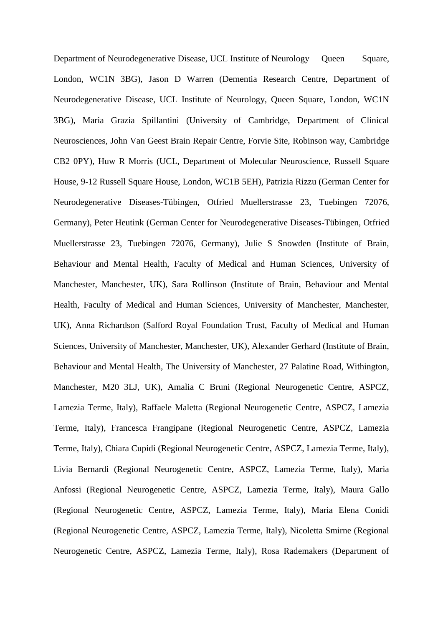Department of Neurodegenerative Disease, UCL Institute of Neurology Queen Square, London, WC1N 3BG), Jason D Warren (Dementia Research Centre, Department of Neurodegenerative Disease, UCL Institute of Neurology, Queen Square, London, WC1N 3BG), Maria Grazia Spillantini (University of Cambridge, Department of Clinical Neurosciences, John Van Geest Brain Repair Centre, Forvie Site, Robinson way, Cambridge CB2 0PY), Huw R Morris (UCL, Department of Molecular Neuroscience, Russell Square House, 9-12 Russell Square House, London, WC1B 5EH), Patrizia Rizzu (German Center for Neurodegenerative Diseases-Tübingen, Otfried Muellerstrasse 23, Tuebingen 72076, Germany), Peter Heutink (German Center for Neurodegenerative Diseases-Tübingen, Otfried Muellerstrasse 23, Tuebingen 72076, Germany), Julie S Snowden (Institute of Brain, Behaviour and Mental Health, Faculty of Medical and Human Sciences, University of Manchester, Manchester, UK), Sara Rollinson (Institute of Brain, Behaviour and Mental Health, Faculty of Medical and Human Sciences, University of Manchester, Manchester, UK), Anna Richardson (Salford Royal Foundation Trust, Faculty of Medical and Human Sciences, University of Manchester, Manchester, UK), Alexander Gerhard (Institute of Brain, Behaviour and Mental Health, The University of Manchester, 27 Palatine Road, Withington, Manchester, M20 3LJ, UK), Amalia C Bruni (Regional Neurogenetic Centre, ASPCZ, Lamezia Terme, Italy), Raffaele Maletta (Regional Neurogenetic Centre, ASPCZ, Lamezia Terme, Italy), Francesca Frangipane (Regional Neurogenetic Centre, ASPCZ, Lamezia Terme, Italy), Chiara Cupidi (Regional Neurogenetic Centre, ASPCZ, Lamezia Terme, Italy), Livia Bernardi (Regional Neurogenetic Centre, ASPCZ, Lamezia Terme, Italy), Maria Anfossi (Regional Neurogenetic Centre, ASPCZ, Lamezia Terme, Italy), Maura Gallo (Regional Neurogenetic Centre, ASPCZ, Lamezia Terme, Italy), Maria Elena Conidi (Regional Neurogenetic Centre, ASPCZ, Lamezia Terme, Italy), Nicoletta Smirne (Regional Neurogenetic Centre, ASPCZ, Lamezia Terme, Italy), Rosa Rademakers (Department of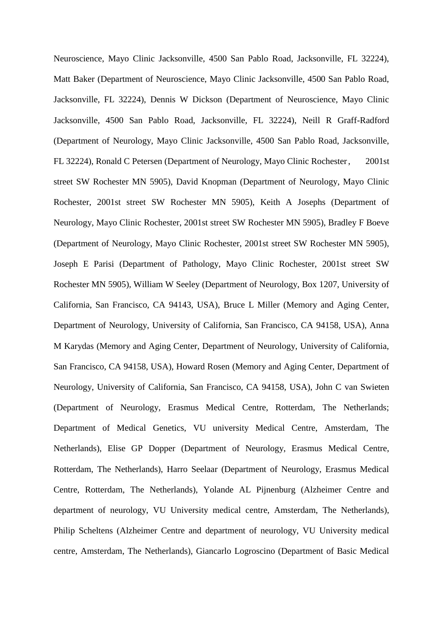Neuroscience, Mayo Clinic Jacksonville, 4500 San Pablo Road, Jacksonville, FL 32224), Matt Baker (Department of Neuroscience, Mayo Clinic Jacksonville, 4500 San Pablo Road, Jacksonville, FL 32224), Dennis W Dickson (Department of Neuroscience, Mayo Clinic Jacksonville, 4500 San Pablo Road, Jacksonville, FL 32224), Neill R Graff-Radford (Department of Neurology, Mayo Clinic Jacksonville, 4500 San Pablo Road, Jacksonville, FL 32224), Ronald C Petersen (Department of Neurology, Mayo Clinic Rochester, 2001st street SW Rochester MN 5905), David Knopman (Department of Neurology, Mayo Clinic Rochester, 2001st street SW Rochester MN 5905), Keith A Josephs (Department of Neurology, Mayo Clinic Rochester, 2001st street SW Rochester MN 5905), Bradley F Boeve (Department of Neurology, Mayo Clinic Rochester, 2001st street SW Rochester MN 5905), Joseph E Parisi (Department of Pathology, Mayo Clinic Rochester, 2001st street SW Rochester MN 5905), William W Seeley (Department of Neurology, Box 1207, University of California, San Francisco, CA 94143, USA), Bruce L Miller (Memory and Aging Center, Department of Neurology, University of California, San Francisco, CA 94158, USA), Anna M Karydas (Memory and Aging Center, Department of Neurology, University of California, San Francisco, CA 94158, USA), Howard Rosen (Memory and Aging Center, Department of Neurology, University of California, San Francisco, CA 94158, USA), John C van Swieten (Department of Neurology, Erasmus Medical Centre, Rotterdam, The Netherlands; Department of Medical Genetics, VU university Medical Centre, Amsterdam, The Netherlands), Elise GP Dopper (Department of Neurology, Erasmus Medical Centre, Rotterdam, The Netherlands), Harro Seelaar (Department of Neurology, Erasmus Medical Centre, Rotterdam, The Netherlands), Yolande AL Pijnenburg (Alzheimer Centre and department of neurology, VU University medical centre, Amsterdam, The Netherlands), Philip Scheltens (Alzheimer Centre and department of neurology, VU University medical centre, Amsterdam, The Netherlands), Giancarlo Logroscino (Department of Basic Medical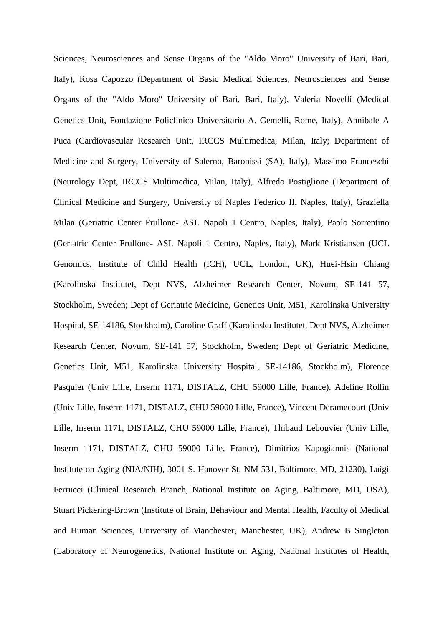Sciences, Neurosciences and Sense Organs of the "Aldo Moro" University of Bari, Bari, Italy), Rosa Capozzo (Department of Basic Medical Sciences, Neurosciences and Sense Organs of the "Aldo Moro" University of Bari, Bari, Italy), Valeria Novelli (Medical Genetics Unit, Fondazione Policlinico Universitario A. Gemelli, Rome, Italy), Annibale A Puca (Cardiovascular Research Unit, IRCCS Multimedica, Milan, Italy; Department of Medicine and Surgery, University of Salerno, Baronissi (SA), Italy), Massimo Franceschi (Neurology Dept, IRCCS Multimedica, Milan, Italy), Alfredo Postiglione (Department of Clinical Medicine and Surgery, University of Naples Federico II, Naples, Italy), Graziella Milan (Geriatric Center Frullone- ASL Napoli 1 Centro, Naples, Italy), Paolo Sorrentino (Geriatric Center Frullone- ASL Napoli 1 Centro, Naples, Italy), Mark Kristiansen (UCL Genomics, Institute of Child Health (ICH), UCL, London, UK), Huei-Hsin Chiang (Karolinska Institutet, Dept NVS, Alzheimer Research Center, Novum, SE-141 57, Stockholm, Sweden; Dept of Geriatric Medicine, Genetics Unit, M51, Karolinska University Hospital, SE-14186, Stockholm), Caroline Graff (Karolinska Institutet, Dept NVS, Alzheimer Research Center, Novum, SE-141 57, Stockholm, Sweden; Dept of Geriatric Medicine, Genetics Unit, M51, Karolinska University Hospital, SE-14186, Stockholm), Florence Pasquier (Univ Lille, Inserm 1171, DISTALZ, CHU 59000 Lille, France), Adeline Rollin (Univ Lille, Inserm 1171, DISTALZ, CHU 59000 Lille, France), Vincent Deramecourt (Univ Lille, Inserm 1171, DISTALZ, CHU 59000 Lille, France), Thibaud Lebouvier (Univ Lille, Inserm 1171, DISTALZ, CHU 59000 Lille, France), Dimitrios Kapogiannis (National Institute on Aging (NIA/NIH), 3001 S. Hanover St, NM 531, Baltimore, MD, 21230), Luigi Ferrucci (Clinical Research Branch, National Institute on Aging, Baltimore, MD, USA), Stuart Pickering-Brown (Institute of Brain, Behaviour and Mental Health, Faculty of Medical and Human Sciences, University of Manchester, Manchester, UK), Andrew B Singleton (Laboratory of Neurogenetics, National Institute on Aging, National Institutes of Health,